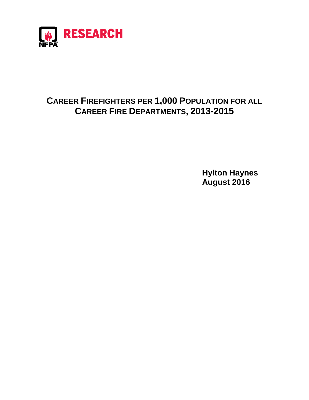

## **CAREER FIREFIGHTERS PER 1,000 POPULATION FOR ALL CAREER FIRE DEPARTMENTS, 2013-2015**

**Hylton Haynes August 2016**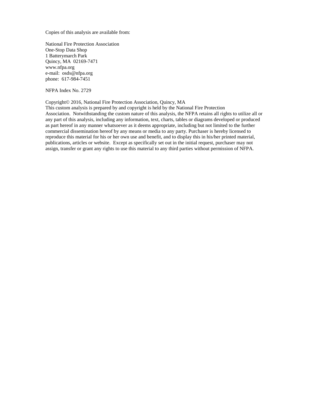Copies of this analysis are available from:

National Fire Protection Association One-Stop Data Shop 1 Batterymarch Park Quincy, MA 02169-7471 www.nfpa.org e-mail: osds@nfpa.org phone: 617-984-7451

NFPA Index No. 2729

## Copyright© 2016, National Fire Protection Association, Quincy, MA

This custom analysis is prepared by and copyright is held by the National Fire Protection Association. Notwithstanding the custom nature of this analysis, the NFPA retains all rights to utilize all or any part of this analysis, including any information, text, charts, tables or diagrams developed or produced as part hereof in any manner whatsoever as it deems appropriate, including but not limited to the further commercial dissemination hereof by any means or media to any party. Purchaser is hereby licensed to reproduce this material for his or her own use and benefit, and to display this in his/her printed material, publications, articles or website. Except as specifically set out in the initial request, purchaser may not assign, transfer or grant any rights to use this material to any third parties without permission of NFPA.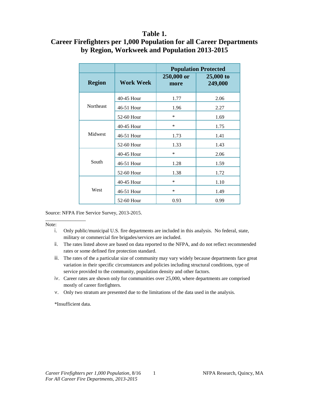## **Table 1.**

## **Career Firefighters per 1,000 Population for all Career Departments by Region, Workweek and Population 2013-2015**

|                  |                  | <b>Population Protected</b> |                        |
|------------------|------------------|-----------------------------|------------------------|
| <b>Region</b>    | <b>Work Week</b> | 250,000 or<br>more          | $25,000$ to<br>249,000 |
| <b>Northeast</b> | 40-45 Hour       | 1.77                        | 2.06                   |
|                  | 46-51 Hour       | 1.96                        | 2.27                   |
|                  | 52-60 Hour       | *                           | 1.69                   |
| Midwest          | 40-45 Hour       | *                           | 1.75                   |
|                  | 46-51 Hour       | 1.73                        | 1.41                   |
|                  | 52-60 Hour       | 1.33                        | 1.43                   |
| South            | 40-45 Hour       | *                           | 2.06                   |
|                  | 46-51 Hour       | 1.28                        | 1.59                   |
|                  | 52-60 Hour       | 1.38                        | 1.72                   |
| West             | 40-45 Hour       | *                           | 1.10                   |
|                  | 46-51 Hour       | *                           | 1.49                   |
|                  | 52-60 Hour       | 0.93                        | 0.99                   |

Source: NFPA Fire Service Survey, 2013-2015.

\_\_\_\_\_\_\_\_\_\_\_\_\_\_\_\_ Note:

- iv. Career rates are shown only for communities over 25,000, where departments are comprised mostly of career firefighters.
- v. Only two stratum are presented due to the limitations of the data used in the analysis.

\*Insufficient data.

i. Only public/municipal U.S. fire departments are included in this analysis. No federal, state, military or commercial fire brigades/services are included.

ii. The rates listed above are based on data reported to the NFPA, and do not reflect recommended rates or some defined fire protection standard.

iii. The rates of the a particular size of community may vary widely because departments face great variation in their specific circumstances and policies including structural conditions, type of service provided to the community, population density and other factors.